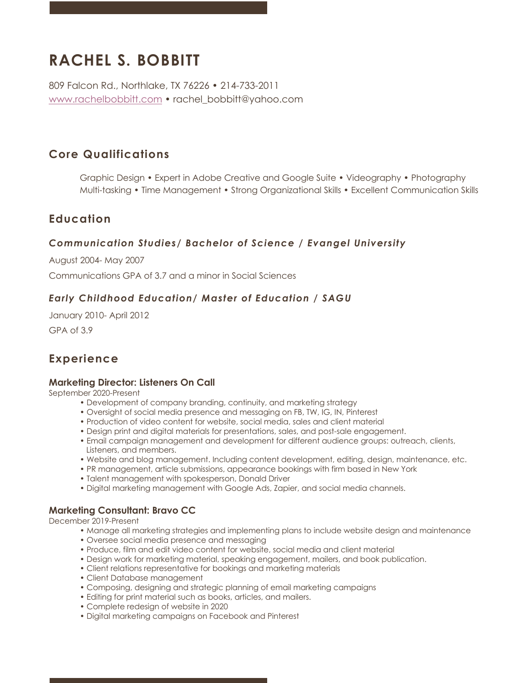# **RACHEL S. BOBBITT**

809 Falcon Rd., Northlake, TX 76226 • 214-733-2011 www.rachelbobbitt.com • rachel\_bobbitt@yahoo.com

# **Core Qualifications**

Graphic Design • Expert in Adobe Creative and Google Suite • Videography • Photography Multi-tasking • Time Management • Strong Organizational Skills • Excellent Communication Skills

## **Education**

### *Communication Studies/ Bachelor of Science / Evangel University*

August 2004- May 2007 Communications GPA of 3.7 and a minor in Social Sciences

## *Early Childhood Education/ Master of Education / SAGU*

January 2010- April 2012 GPA of 3.9

# **Experience**

#### **Marketing Director: Listeners On Call**

September 2020-Present

- Development of company branding, continuity, and marketing strategy
- Oversight of social media presence and messaging on FB, TW, IG, IN, Pinterest
- Production of video content for website, social media, sales and client material
- Design print and digital materials for presentations, sales, and post-sale engagement.
- Email campaign management and development for different audience groups: outreach, clients, Listeners, and members.
- Website and blog management. Including content development, editing, design, maintenance, etc.
- PR management, article submissions, appearance bookings with firm based in New York
- Talent management with spokesperson, Donald Driver
- Digital marketing management with Google Ads, Zapier, and social media channels.

#### **Marketing Consultant: Bravo CC**

December 2019-Present

- Manage all marketing strategies and implementing plans to include website design and maintenance
- Oversee social media presence and messaging
- Produce, film and edit video content for website, social media and client material
- Design work for marketing material, speaking engagement, mailers, and book publication.
- Client relations representative for bookings and marketing materials
- Client Database management
- Composing, designing and strategic planning of email marketing campaigns
- Editing for print material such as books, articles, and mailers.
- Complete redesign of website in 2020
- Digital marketing campaigns on Facebook and Pinterest